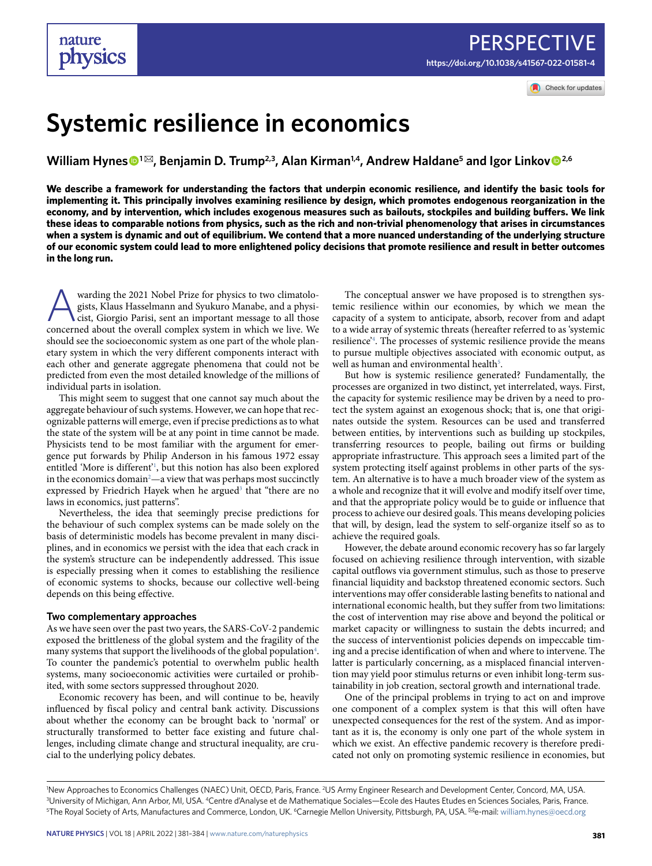Check for updates

# **Systemic resilience in economics**

**William Hynes<sup>●1⊠</sup>, Benjamin D. Trump<sup>2,3</sup>, Alan Kirman<sup>1,4</sup>, Andrew Haldane<sup>5</sup> and Igor Linkov<sup>●2,6</sup>** 

**We describe a framework for understanding the factors that underpin economic resilience, and identify the basic tools for implementing it. This principally involves examining resilience by design, which promotes endogenous reorganization in the economy, and by intervention, which includes exogenous measures such as bailouts, stockpiles and building buffers. We link these ideas to comparable notions from physics, such as the rich and non-trivial phenomenology that arises in circumstances when a system is dynamic and out of equilibrium. We contend that a more nuanced understanding of the underlying structure of our economic system could lead to more enlightened policy decisions that promote resilience and result in better outcomes in the long run.**

warding the 2021 Nobel Prize for physics to two climatologists, Klaus Hasselmann and Syukuro Manabe, and a physicist, Giorgio Parisi, sent an important message to all those concerned about the overall complex system in whi gists, Klaus Hasselmann and Syukuro Manabe, and a physicist, Giorgio Parisi, sent an important message to all those concerned about the overall complex system in which we live. We should see the socioeconomic system as one part of the whole planetary system in which the very different components interact with each other and generate aggregate phenomena that could not be predicted from even the most detailed knowledge of the millions of individual parts in isolation.

This might seem to suggest that one cannot say much about the aggregate behaviour of such systems. However, we can hope that recognizable patterns will emerge, even if precise predictions as to what the state of the system will be at any point in time cannot be made. Physicists tend to be most familiar with the argument for emergence put forwards by Philip Anderson in his famous 1972 essay entitled 'More is different['1](#page-3-0) , but this notion has also been explored in the economics domain<sup>2</sup>—a view that was perhaps most succinctly expressed by Friedrich Hayek when he argued<sup>[3](#page-3-2)</sup> that "there are no laws in economics, just patterns".

Nevertheless, the idea that seemingly precise predictions for the behaviour of such complex systems can be made solely on the basis of deterministic models has become prevalent in many disciplines, and in economics we persist with the idea that each crack in the system's structure can be independently addressed. This issue is especially pressing when it comes to establishing the resilience of economic systems to shocks, because our collective well-being depends on this being effective.

#### **Two complementary approaches**

As we have seen over the past two years, the SARS-CoV-2 pandemic exposed the brittleness of the global system and the fragility of the many systems that support the livelihoods of the global population $4$ . To counter the pandemic's potential to overwhelm public health systems, many socioeconomic activities were curtailed or prohibited, with some sectors suppressed throughout 2020.

Economic recovery has been, and will continue to be, heavily influenced by fiscal policy and central bank activity. Discussions about whether the economy can be brought back to 'normal' or structurally transformed to better face existing and future challenges, including climate change and structural inequality, are crucial to the underlying policy debates.

The conceptual answer we have proposed is to strengthen systemic resilience within our economies, by which we mean the capacity of a system to anticipate, absorb, recover from and adapt to a wide array of systemic threats (hereafter referred to as 'systemic resilience['4](#page-3-3) . The processes of systemic resilience provide the means to pursue multiple objectives associated with economic output, as well as human and environmental health $5$ .

But how is systemic resilience generated? Fundamentally, the processes are organized in two distinct, yet interrelated, ways. First, the capacity for systemic resilience may be driven by a need to protect the system against an exogenous shock; that is, one that originates outside the system. Resources can be used and transferred between entities, by interventions such as building up stockpiles, transferring resources to people, bailing out firms or building appropriate infrastructure. This approach sees a limited part of the system protecting itself against problems in other parts of the system. An alternative is to have a much broader view of the system as a whole and recognize that it will evolve and modify itself over time, and that the appropriate policy would be to guide or influence that process to achieve our desired goals. This means developing policies that will, by design, lead the system to self-organize itself so as to achieve the required goals.

However, the debate around economic recovery has so far largely focused on achieving resilience through intervention, with sizable capital outflows via government stimulus, such as those to preserve financial liquidity and backstop threatened economic sectors. Such interventions may offer considerable lasting benefits to national and international economic health, but they suffer from two limitations: the cost of intervention may rise above and beyond the political or market capacity or willingness to sustain the debts incurred; and the success of interventionist policies depends on impeccable timing and a precise identification of when and where to intervene. The latter is particularly concerning, as a misplaced financial intervention may yield poor stimulus returns or even inhibit long-term sustainability in job creation, sectoral growth and international trade.

One of the principal problems in trying to act on and improve one component of a complex system is that this will often have unexpected consequences for the rest of the system. And as important as it is, the economy is only one part of the whole system in which we exist. An effective pandemic recovery is therefore predicated not only on promoting systemic resilience in economies, but

New Approaches to Economics Challenges (NAEC) Unit, OECD, Paris, France. <sup>2</sup>US Army Engineer Research and Development Center, Concord, MA, USA.<br><sup>31</sup> Iniversity of Michigan, Ann Arbor, ML USA, <sup>4</sup>Centre d'Analyse et de Math <sup>3</sup>University of Michigan, Ann Arbor, MI, USA. <sup>4</sup>Centre d'Analyse et de Mathematique Sociales—Ecole des Hautes Etudes en Sciences Sociales, Paris, France. The Royal Society of Arts, Manufactures and Commerce, London, UK. <sup>6</sup>Carnegie Mellon University, Pittsburgh, PA, USA. <sup>⊠</sup>e-mail: [william.hynes@oecd.org](mailto:william.hynes@oecd.org)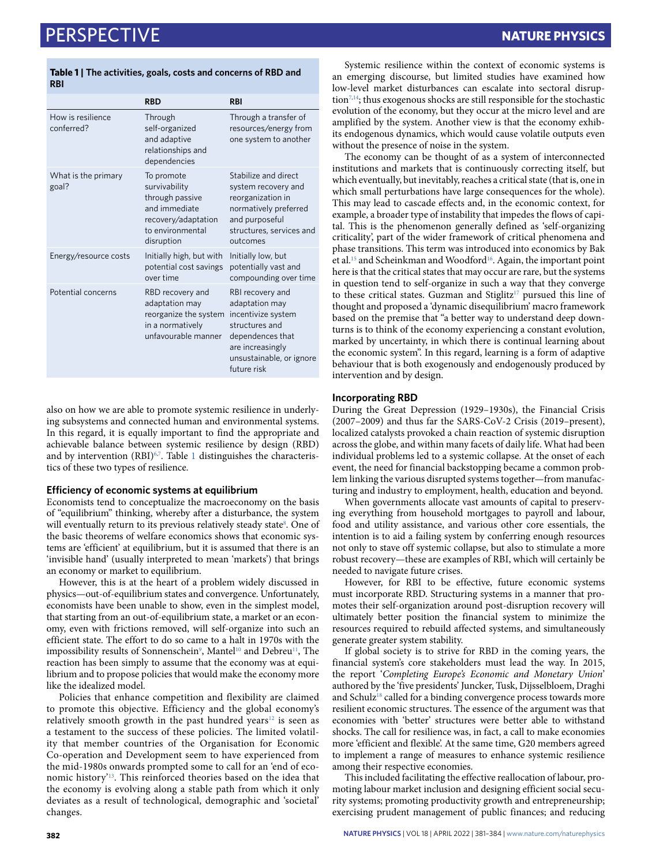## Perspective **NaTure Physics**

#### <span id="page-1-0"></span>**Table 1 | The activities, goals, costs and concerns of RBD and RBI**

|                                 | <b>RBD</b>                                                                                                               | <b>RBI</b>                                                                                                                                                    |
|---------------------------------|--------------------------------------------------------------------------------------------------------------------------|---------------------------------------------------------------------------------------------------------------------------------------------------------------|
| How is resilience<br>conferred? | Through<br>self-organized<br>and adaptive<br>relationships and<br>dependencies                                           | Through a transfer of<br>resources/energy from<br>one system to another                                                                                       |
| What is the primary<br>goal?    | To promote<br>survivability<br>through passive<br>and immediate<br>recovery/adaptation<br>to environmental<br>disruption | Stabilize and direct<br>system recovery and<br>reorganization in<br>normatively preferred<br>and purposeful<br>structures, services and<br>outcomes           |
| Energy/resource costs           | Initially high, but with<br>potential cost savings<br>over time                                                          | Initially low, but<br>potentially vast and<br>compounding over time                                                                                           |
| Potential concerns              | RBD recovery and<br>adaptation may<br>reorganize the system<br>in a normatively<br>unfavourable manner                   | RBI recovery and<br>adaptation may<br>incentivize system<br>structures and<br>dependences that<br>are increasingly<br>unsustainable, or ignore<br>future risk |

also on how we are able to promote systemic resilience in underlying subsystems and connected human and environmental systems. In this regard, it is equally important to find the appropriate and achievable balance between systemic resilience by design (RBD) and by intervention (RBI) $67$  $67$ . Table [1](#page-1-0) distinguishes the characteristics of these two types of resilience.

#### **Efficiency of economic systems at equilibrium**

Economists tend to conceptualize the macroeconomy on the basis of "equilibrium" thinking, whereby after a disturbance, the system will eventually return to its previous relatively steady state[8](#page-3-7). One of the basic theorems of welfare economics shows that economic systems are 'efficient' at equilibrium, but it is assumed that there is an 'invisible hand' (usually interpreted to mean 'markets') that brings an economy or market to equilibrium.

However, this is at the heart of a problem widely discussed in physics—out-of-equilibrium states and convergence. Unfortunately, economists have been unable to show, even in the simplest model, that starting from an out-of-equilibrium state, a market or an economy, even with frictions removed, will self-organize into such an efficient state. The effort to do so came to a halt in 1970s with the impossibility results of Sonnenschein<sup>[9](#page-3-8)</sup>, Mantel<sup>10</sup> and Debreu<sup>11</sup>, The reaction has been simply to assume that the economy was at equilibrium and to propose policies that would make the economy more like the idealized model.

Policies that enhance competition and flexibility are claimed to promote this objective. Efficiency and the global economy's relatively smooth growth in the past hundred years $12$  is seen as a testament to the success of these policies. The limited volatility that member countries of the Organisation for Economic Co-operation and Development seem to have experienced from the mid-1980s onwards prompted some to call for an 'end of economic history'[13](#page-3-12). This reinforced theories based on the idea that the economy is evolving along a stable path from which it only deviates as a result of technological, demographic and 'societal' changes.

Systemic resilience within the context of economic systems is an emerging discourse, but limited studies have examined how low-level market disturbances can escalate into sectoral disruption[7](#page-3-6),[14;](#page-3-13) thus exogenous shocks are still responsible for the stochastic evolution of the economy, but they occur at the micro level and are amplified by the system. Another view is that the economy exhibits endogenous dynamics, which would cause volatile outputs even without the presence of noise in the system.

The economy can be thought of as a system of interconnected institutions and markets that is continuously correcting itself, but which eventually, but inevitably, reaches a critical state (that is, one in which small perturbations have large consequences for the whole). This may lead to cascade effects and, in the economic context, for example, a broader type of instability that impedes the flows of capital. This is the phenomenon generally defined as 'self-organizing criticality', part of the wider framework of critical phenomena and phase transitions. This term was introduced into economics by Bak et al.<sup>15</sup> and Scheinkman and Woodford<sup>16</sup>. Again, the important point here is that the critical states that may occur are rare, but the systems in question tend to self-organize in such a way that they converge to these critical states. Guzman and Stiglitz<sup>17</sup> pursued this line of thought and proposed a 'dynamic disequilibrium' macro framework based on the premise that "a better way to understand deep downturns is to think of the economy experiencing a constant evolution, marked by uncertainty, in which there is continual learning about the economic system". In this regard, learning is a form of adaptive behaviour that is both exogenously and endogenously produced by intervention and by design.

### **Incorporating RBD**

During the Great Depression (1929–1930s), the Financial Crisis (2007–2009) and thus far the SARS-CoV-2 Crisis (2019–present), localized catalysts provoked a chain reaction of systemic disruption across the globe, and within many facets of daily life. What had been individual problems led to a systemic collapse. At the onset of each event, the need for financial backstopping became a common problem linking the various disrupted systems together—from manufacturing and industry to employment, health, education and beyond.

When governments allocate vast amounts of capital to preserving everything from household mortgages to payroll and labour, food and utility assistance, and various other core essentials, the intention is to aid a failing system by conferring enough resources not only to stave off systemic collapse, but also to stimulate a more robust recovery—these are examples of RBI, which will certainly be needed to navigate future crises.

However, for RBI to be effective, future economic systems must incorporate RBD. Structuring systems in a manner that promotes their self-organization around post-disruption recovery will ultimately better position the financial system to minimize the resources required to rebuild affected systems, and simultaneously generate greater system stability.

If global society is to strive for RBD in the coming years, the financial system's core stakeholders must lead the way. In 2015, the report '*Completing Europe's Economic and Monetary Union*' authored by the 'five presidents' Juncker, Tusk, Dijsselbloem, Draghi and Schulz<sup>[18](#page-3-17)</sup> called for a binding convergence process towards more resilient economic structures. The essence of the argument was that economies with 'better' structures were better able to withstand shocks. The call for resilience was, in fact, a call to make economies more 'efficient and flexible'. At the same time, G20 members agreed to implement a range of measures to enhance systemic resilience among their respective economies.

This included facilitating the effective reallocation of labour, promoting labour market inclusion and designing efficient social security systems; promoting productivity growth and entrepreneurship; exercising prudent management of public finances; and reducing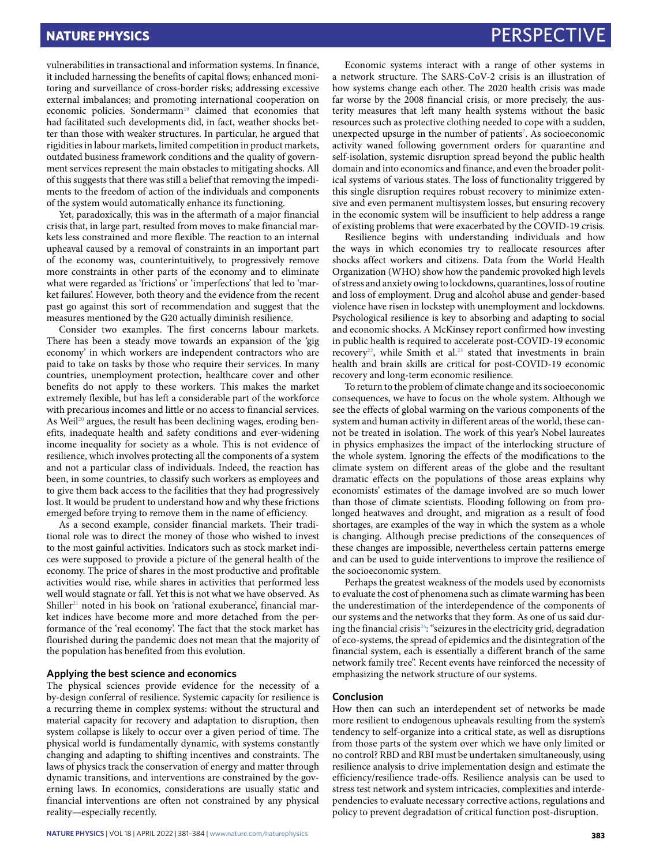vulnerabilities in transactional and information systems. In finance, it included harnessing the benefits of capital flows; enhanced monitoring and surveillance of cross-border risks; addressing excessive external imbalances; and promoting international cooperation on economic policies. Sondermann<sup>[19](#page-3-18)</sup> claimed that economies that had facilitated such developments did, in fact, weather shocks better than those with weaker structures. In particular, he argued that rigidities in labour markets, limited competition in product markets, outdated business framework conditions and the quality of government services represent the main obstacles to mitigating shocks. All of this suggests that there was still a belief that removing the impediments to the freedom of action of the individuals and components of the system would automatically enhance its functioning.

Yet, paradoxically, this was in the aftermath of a major financial crisis that, in large part, resulted from moves to make financial markets less constrained and more flexible. The reaction to an internal upheaval caused by a removal of constraints in an important part of the economy was, counterintuitively, to progressively remove more constraints in other parts of the economy and to eliminate what were regarded as 'frictions' or 'imperfections' that led to 'market failures'. However, both theory and the evidence from the recent past go against this sort of recommendation and suggest that the measures mentioned by the G20 actually diminish resilience.

Consider two examples. The first concerns labour markets. There has been a steady move towards an expansion of the 'gig economy' in which workers are independent contractors who are paid to take on tasks by those who require their services. In many countries, unemployment protection, healthcare cover and other benefits do not apply to these workers. This makes the market extremely flexible, but has left a considerable part of the workforce with precarious incomes and little or no access to financial services. As Weil<sup>20</sup> argues, the result has been declining wages, eroding benefits, inadequate health and safety conditions and ever-widening income inequality for society as a whole. This is not evidence of resilience, which involves protecting all the components of a system and not a particular class of individuals. Indeed, the reaction has been, in some countries, to classify such workers as employees and to give them back access to the facilities that they had progressively lost. It would be prudent to understand how and why these frictions emerged before trying to remove them in the name of efficiency.

As a second example, consider financial markets. Their traditional role was to direct the money of those who wished to invest to the most gainful activities. Indicators such as stock market indices were supposed to provide a picture of the general health of the economy. The price of shares in the most productive and profitable activities would rise, while shares in activities that performed less well would stagnate or fall. Yet this is not what we have observed. As Shiller<sup>21</sup> noted in his book on 'rational exuberance', financial market indices have become more and more detached from the performance of the 'real economy'. The fact that the stock market has flourished during the pandemic does not mean that the majority of the population has benefited from this evolution.

### **Applying the best science and economics**

The physical sciences provide evidence for the necessity of a by-design conferral of resilience. Systemic capacity for resilience is a recurring theme in complex systems: without the structural and material capacity for recovery and adaptation to disruption, then system collapse is likely to occur over a given period of time. The physical world is fundamentally dynamic, with systems constantly changing and adapting to shifting incentives and constraints. The laws of physics track the conservation of energy and matter through dynamic transitions, and interventions are constrained by the governing laws. In economics, considerations are usually static and financial interventions are often not constrained by any physical reality—especially recently.

Economic systems interact with a range of other systems in a network structure. The SARS-CoV-2 crisis is an illustration of how systems change each other. The 2020 health crisis was made far worse by the 2008 financial crisis, or more precisely, the austerity measures that left many health systems without the basic resources such as protective clothing needed to cope with a sudden, unexpected upsurge in the number of patients<sup>7</sup>. As socioeconomic activity waned following government orders for quarantine and self-isolation, systemic disruption spread beyond the public health domain and into economics and finance, and even the broader political systems of various states. The loss of functionality triggered by this single disruption requires robust recovery to minimize extensive and even permanent multisystem losses, but ensuring recovery in the economic system will be insufficient to help address a range of existing problems that were exacerbated by the COVID-19 crisis.

Resilience begins with understanding individuals and how the ways in which economies try to reallocate resources after shocks affect workers and citizens. Data from the World Health Organization (WHO) show how the pandemic provoked high levels of stress and anxiety owing to lockdowns, quarantines, loss of routine and loss of employment. Drug and alcohol abuse and gender-based violence have risen in lockstep with unemployment and lockdowns. Psychological resilience is key to absorbing and adapting to social and economic shocks. A McKinsey report confirmed how investing in public health is required to accelerate post-COVID-19 economic recovery<sup>22</sup>, while Smith et al.<sup>[23](#page-3-22)</sup> stated that investments in brain health and brain skills are critical for post-COVID-19 economic recovery and long-term economic resilience.

To return to the problem of climate change and its socioeconomic consequences, we have to focus on the whole system. Although we see the effects of global warming on the various components of the system and human activity in different areas of the world, these cannot be treated in isolation. The work of this year's Nobel laureates in physics emphasizes the impact of the interlocking structure of the whole system. Ignoring the effects of the modifications to the climate system on different areas of the globe and the resultant dramatic effects on the populations of those areas explains why economists' estimates of the damage involved are so much lower than those of climate scientists. Flooding following on from prolonged heatwaves and drought, and migration as a result of food shortages, are examples of the way in which the system as a whole is changing. Although precise predictions of the consequences of these changes are impossible, nevertheless certain patterns emerge and can be used to guide interventions to improve the resilience of the socioeconomic system.

Perhaps the greatest weakness of the models used by economists to evaluate the cost of phenomena such as climate warming has been the underestimation of the interdependence of the components of our systems and the networks that they form. As one of us said during the financial crisis<sup>24</sup>: "seizures in the electricity grid, degradation of eco-systems, the spread of epidemics and the disintegration of the financial system, each is essentially a different branch of the same network family tree". Recent events have reinforced the necessity of emphasizing the network structure of our systems.

#### **Conclusion**

How then can such an interdependent set of networks be made more resilient to endogenous upheavals resulting from the system's tendency to self-organize into a critical state, as well as disruptions from those parts of the system over which we have only limited or no control? RBD and RBI must be undertaken simultaneously, using resilience analysis to drive implementation design and estimate the efficiency/resilience trade-offs. Resilience analysis can be used to stress test network and system intricacies, complexities and interdependencies to evaluate necessary corrective actions, regulations and policy to prevent degradation of critical function post-disruption.